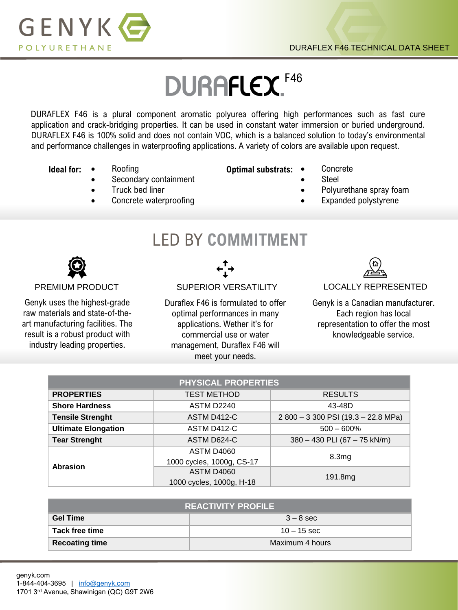

# **DURAFLEX.** F46

DURAFLEX F46 is a plural component aromatic polyurea offering high performances such as fast cure application and crack-bridging properties. It can be used in constant water immersion or buried underground. DURAFLEX F46 is 100% solid and does not contain VOC, which is a balanced solution to today's environmental and performance challenges in waterproofing applications. A variety of colors are available upon request.

- **Ideal for:** Roofing
	- Secondary containment
	- Truck bed liner
	- Concrete waterproofing
- **Optimal substrats:** Concrete
	- **Steel**
	- Polyurethane spray foam
	- Expanded polystyrene

## LED BY **COMMITMENT**



Genyk uses the highest-grade raw materials and state-of-theart manufacturing facilities. The result is a robust product with industry leading properties.



## PREMIUM PRODUCT SUPERIOR VERSATILITY LOCALLY REPRESENTED

Duraflex F46 is formulated to offer optimal performances in many applications. Wether it's for commercial use or water management, Duraflex F46 will meet your needs.



Genyk is a Canadian manufacturer. Each region has local representation to offer the most knowledgeable service.

| <b>PHYSICAL PROPERTIES</b> |                           |                                   |  |  |
|----------------------------|---------------------------|-----------------------------------|--|--|
| <b>PROPERTIES</b>          | <b>TEST METHOD</b>        | <b>RESULTS</b>                    |  |  |
| <b>Shore Hardness</b>      | <b>ASTM D2240</b>         | 43-48D                            |  |  |
| <b>Tensile Strenght</b>    | ASTM D412-C               | 2800 - 3300 PSI (19.3 - 22.8 MPa) |  |  |
| <b>Ultimate Elongation</b> | ASTM D412-C               | $500 - 600\%$                     |  |  |
| <b>Tear Strenght</b>       | ASTM D624-C               | 380 - 430 PLI (67 - 75 kN/m)      |  |  |
| <b>Abrasion</b>            | <b>ASTM D4060</b>         | 8.3mg                             |  |  |
|                            | 1000 cycles, 1000g, CS-17 |                                   |  |  |
|                            | <b>ASTM D4060</b>         | 191.8mg                           |  |  |
|                            | 1000 cycles, 1000g, H-18  |                                   |  |  |

| <b>REACTIVITY PROFILE</b> |                 |  |  |
|---------------------------|-----------------|--|--|
| <b>Gel Time</b>           | $3 - 8$ sec     |  |  |
| Tack free time            | $10 - 15$ sec   |  |  |
| <b>Recoating time</b>     | Maximum 4 hours |  |  |